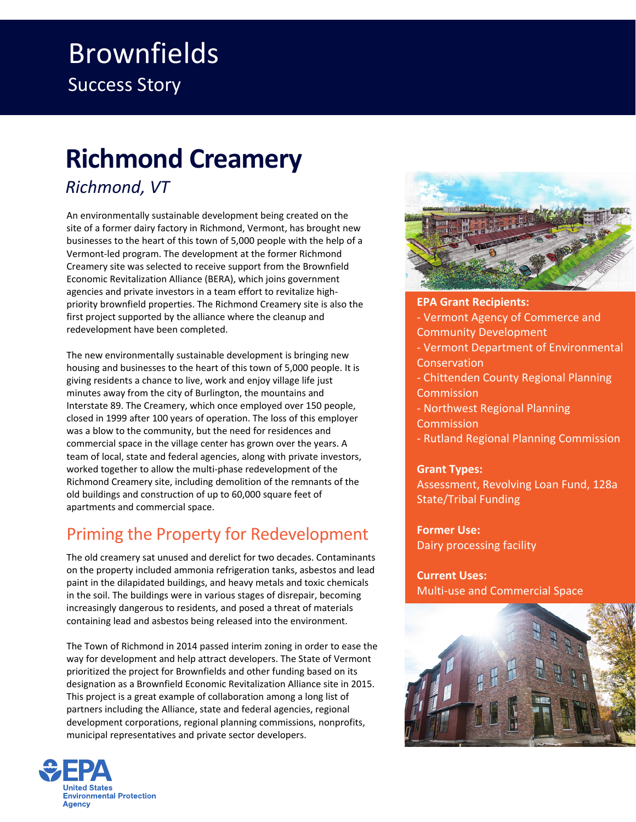## Brownfields Success Story

# **Richmond Creamery**

### *Richmond, VT*

 An environmentally sustainable development being created on the site of a former dairy factory in Richmond, Vermont, has brought new businesses to the heart of this town of 5,000 people with the help of a Vermont‐led program. The development at the former Richmond Creamery site was selected to receive support from the Brownfield Economic Revitalization Alliance (BERA), which joins government agencies and private investors in a team effort to revitalize high‐ priority brownfield properties. The Richmond Creamery site is also the first project supported by the alliance where the cleanup and redevelopment have been completed.

 The new environmentally sustainable development is bringing new housing and businesses to the heart of this town of 5,000 people. It is giving residents a chance to live, work and enjoy village life just minutes away from the city of Burlington, the mountains and Interstate 89. The Creamery, which once employed over 150 people, closed in 1999 after 100 years of operation. The loss of this employer was a blow to the community, but the need for residences and commercial space in the village center has grown over the years. A team of local, state and federal agencies, along with private investors, worked together to allow the multi‐phase redevelopment of the Richmond Creamery site, including demolition of the remnants of the old buildings and construction of up to 60,000 square feet of apartments and commercial space.

## Priming the Property for Redevelopment

 The old creamery sat unused and derelict for two decades. Contaminants on the property included ammonia refrigeration tanks, asbestos and lead paint in the dilapidated buildings, and heavy metals and toxic chemicals in the soil. The buildings were in various stages of disrepair, becoming increasingly dangerous to residents, and posed a threat of materials containing lead and asbestos being released into the environment.

 The Town of Richmond in 2014 passed interim zoning in order to ease the way for development and help attract developers. The State of Vermont prioritized the project for Brownfields and other funding based on its designation as a Brownfield Economic Revitalization Alliance site in 2015. This project is a great example of collaboration among a long list of partners including the Alliance, state and federal agencies, regional development corporations, regional planning commissions, nonprofits, municipal representatives and private sector developers.





 **EPA Grant Recipients:** ‐ Vermont Agency of Commerce and ‐ Vermont Department of Environmental ‐ Chittenden County Regional Planning ‐ Northwest Regional Planning Community Development **Conservation Commission Commission** 

‐ Rutland Regional Planning Commission

#### **Grant Types:**

 Assessment, Revolving Loan Fund, 128a State/Tribal Funding

 **Former Use:** Dairy processing facility

 **Current Uses:** Multi‐use and Commercial Space